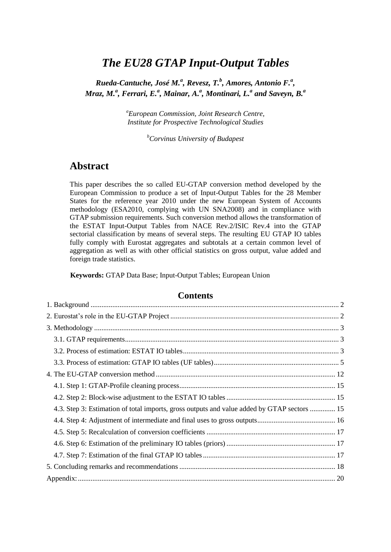# *The EU28 GTAP Input-Output Tables*

*Rueda-Cantuche, José M.<sup>a</sup> , Revesz, T.<sup>b</sup> , Amores, Antonio F.<sup>a</sup> , Mraz, M.<sup>a</sup> , Ferrari, E.<sup>a</sup> , Mainar, A.<sup>a</sup> , Montinari, L.<sup>a</sup> and Saveyn, B.<sup>a</sup>*

> *<sup>a</sup>European Commission, Joint Research Centre, Institute for Prospective Technological Studies*

> > *<sup>b</sup>Corvinus University of Budapest*

## **Abstract**

This paper describes the so called EU-GTAP conversion method developed by the European Commission to produce a set of Input-Output Tables for the 28 Member States for the reference year 2010 under the new European System of Accounts methodology (ESA2010, complying with UN SNA2008) and in compliance with GTAP submission requirements. Such conversion method allows the transformation of the ESTAT Input-Output Tables from NACE Rev.2/ISIC Rev.4 into the GTAP sectorial classification by means of several steps. The resulting EU GTAP IO tables fully comply with Eurostat aggregates and subtotals at a certain common level of aggregation as well as with other official statistics on gross output, value added and foreign trade statistics.

**Keywords:** GTAP Data Base; Input-Output Tables; European Union

#### **Contents**

| 4.3. Step 3: Estimation of total imports, gross outputs and value added by GTAP sectors  15 |
|---------------------------------------------------------------------------------------------|
|                                                                                             |
|                                                                                             |
|                                                                                             |
|                                                                                             |
|                                                                                             |
|                                                                                             |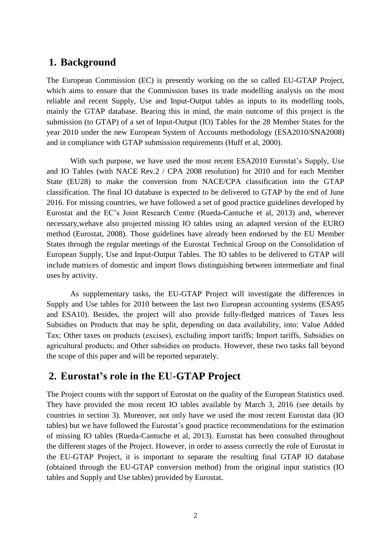## <span id="page-1-0"></span>**1. Background**

The European Commission (EC) is presently working on the so called EU-GTAP Project, which aims to ensure that the Commission bases its trade modelling analysis on the most reliable and recent Supply, Use and Input-Output tables as inputs to its modelling tools, mainly the GTAP database. Bearing this in mind, the main outcome of this project is the submission (to GTAP) of a set of Input-Output (IO) Tables for the 28 Member States for the year 2010 under the new European System of Accounts methodology (ESA2010/SNA2008) and in compliance with GTAP submission requirements (Huff et al, 2000).

With such purpose, we have used the most recent ESA2010 Eurostat's Supply, Use and IO Tables (with NACE Rev.2 / CPA 2008 resolution) for 2010 and for each Member State (EU28) to make the conversion from NACE/CPA classification into the GTAP classification. The final IO database is expected to be delivered to GTAP by the end of June 2016. For missing countries, we have followed a set of good practice guidelines developed by Eurostat and the EC's Joint Research Centre (Rueda-Cantuche et al, 2013) and, wherever necessary,wehave also projected missing IO tables using an adapted version of the EURO method (Eurostat, 2008). Those guidelines have already been endorsed by the EU Member States through the regular meetings of the Eurostat Technical Group on the Consolidation of European Supply, Use and Input-Output Tables. The IO tables to be delivered to GTAP will include matrices of domestic and import flows distinguishing between intermediate and final uses by activity.

As supplementary tasks, the EU-GTAP Project will investigate the differences in Supply and Use tables for 2010 between the last two European accounting systems (ESA95 and ESA10). Besides, the project will also provide fully-fledged matrices of Taxes less Subsidies on Products that may be split, depending on data availability, into: Value Added Tax; Other taxes on products (excises), excluding import tariffs; Import tariffs, Subsidies on agricultural products; and Other subsidies on products. However, these two tasks fall beyond the scope of this paper and will be reported separately.

## <span id="page-1-1"></span>**2. Eurostat's role in the EU-GTAP Project**

The Project counts with the support of Eurostat on the quality of the European Statistics used. They have provided the most recent IO tables available by March 3, 2016 (see details by countries in section 3). Moreover, not only have we used the most recent Eurostat data (IO tables) but we have followed the Eurostat's good practice recommendations for the estimation of missing IO tables (Rueda-Cantuche et al, 2013). Eurostat has been consulted throughout the different stages of the Project. However, in order to assess correctly the role of Eurostat in the EU-GTAP Project, it is important to separate the resulting final GTAP IO database (obtained through the EU-GTAP conversion method) from the original input statistics (IO tables and Supply and Use tables) provided by Eurostat.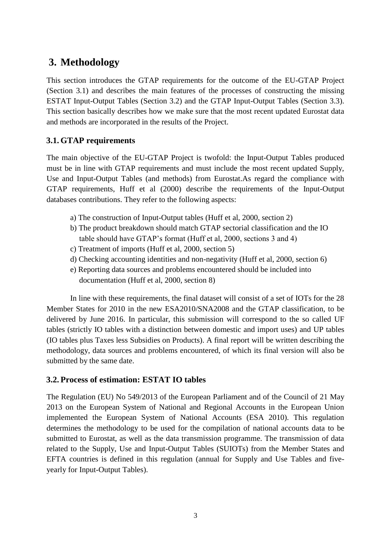# <span id="page-2-0"></span>**3. Methodology**

This section introduces the GTAP requirements for the outcome of the EU-GTAP Project (Section 3.1) and describes the main features of the processes of constructing the missing ESTAT Input-Output Tables (Section 3.2) and the GTAP Input-Output Tables (Section 3.3). This section basically describes how we make sure that the most recent updated Eurostat data and methods are incorporated in the results of the Project.

### <span id="page-2-1"></span>**3.1. GTAP requirements**

The main objective of the EU-GTAP Project is twofold: the Input-Output Tables produced must be in line with GTAP requirements and must include the most recent updated Supply, Use and Input-Output Tables (and methods) from Eurostat.As regard the compliance with GTAP requirements, Huff et al (2000) describe the requirements of the Input-Output databases contributions. They refer to the following aspects:

- a) The construction of Input-Output tables (Huff et al, 2000, section 2)
- b) The product breakdown should match GTAP sectorial classification and the IO table should have GTAP's format (Huff et al, 2000, sections 3 and 4)
- c) Treatment of imports (Huff et al, 2000, section 5)
- d) Checking accounting identities and non-negativity (Huff et al, 2000, section 6)
- e) Reporting data sources and problems encountered should be included into
	- documentation (Huff et al, 2000, section 8)

In line with these requirements, the final dataset will consist of a set of IOTs for the 28 Member States for 2010 in the new ESA2010/SNA2008 and the GTAP classification, to be delivered by June 2016. In particular, this submission will correspond to the so called UF tables (strictly IO tables with a distinction between domestic and import uses) and UP tables (IO tables plus Taxes less Subsidies on Products). A final report will be written describing the methodology, data sources and problems encountered, of which its final version will also be submitted by the same date.

#### <span id="page-2-2"></span>**3.2. Process of estimation: ESTAT IO tables**

The Regulation (EU) No 549/2013 of the European Parliament and of the Council of 21 May 2013 on the European System of National and Regional Accounts in the European Union implemented the European System of National Accounts (ESA 2010). This regulation determines the methodology to be used for the compilation of national accounts data to be submitted to Eurostat, as well as the data transmission programme. The transmission of data related to the Supply, Use and Input-Output Tables (SUIOTs) from the Member States and EFTA countries is defined in this regulation (annual for Supply and Use Tables and fiveyearly for Input-Output Tables).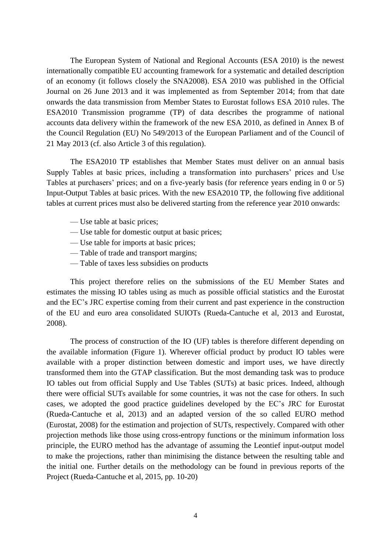The European System of National and Regional Accounts (ESA 2010) is the newest internationally compatible EU accounting framework for a systematic and detailed description of an economy (it follows closely the SNA2008). ESA 2010 was published in the Official Journal on 26 June 2013 and it was implemented as from September 2014; from that date onwards the data transmission from Member States to Eurostat follows ESA 2010 rules. The ESA2010 Transmission programme (TP) of data describes the programme of national accounts data delivery within the framework of the new ESA 2010, as defined in Annex B of the Council Regulation (EU) No 549/2013 of the European Parliament and of the Council of 21 May 2013 (cf. also Article 3 of this regulation).

The ESA2010 TP establishes that Member States must deliver on an annual basis Supply Tables at basic prices, including a transformation into purchasers' prices and Use Tables at purchasers' prices; and on a five-yearly basis (for reference years ending in 0 or 5) Input-Output Tables at basic prices. With the new ESA2010 TP, the following five additional tables at current prices must also be delivered starting from the reference year 2010 onwards:

- Use table at basic prices;
- Use table for domestic output at basic prices;
- Use table for imports at basic prices;
- Table of trade and transport margins;
- Table of taxes less subsidies on products

This project therefore relies on the submissions of the EU Member States and estimates the missing IO tables using as much as possible official statistics and the Eurostat and the EC's JRC expertise coming from their current and past experience in the construction of the EU and euro area consolidated SUIOTs (Rueda-Cantuche et al, 2013 and Eurostat, 2008).

The process of construction of the IO (UF) tables is therefore different depending on the available information (Figure 1). Wherever official product by product IO tables were available with a proper distinction between domestic and import uses, we have directly transformed them into the GTAP classification. But the most demanding task was to produce IO tables out from official Supply and Use Tables (SUTs) at basic prices. Indeed, although there were official SUTs available for some countries, it was not the case for others. In such cases, we adopted the good practice guidelines developed by the EC's JRC for Eurostat (Rueda-Cantuche et al, 2013) and an adapted version of the so called EURO method (Eurostat, 2008) for the estimation and projection of SUTs, respectively. Compared with other projection methods like those using cross-entropy functions or the minimum information loss principle, the EURO method has the advantage of assuming the Leontief input-output model to make the projections, rather than minimising the distance between the resulting table and the initial one. Further details on the methodology can be found in previous reports of the Project (Rueda-Cantuche et al, 2015, pp. 10-20)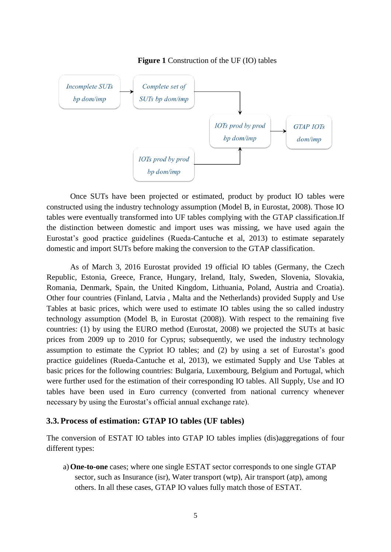

#### **Figure 1** Construction of the UF (IO) tables

Once SUTs have been projected or estimated, product by product IO tables were constructed using the industry technology assumption (Model B, in Eurostat, 2008). Those IO tables were eventually transformed into UF tables complying with the GTAP classification.If the distinction between domestic and import uses was missing, we have used again the Eurostat's good practice guidelines (Rueda-Cantuche et al, 2013) to estimate separately domestic and import SUTs before making the conversion to the GTAP classification.

As of March 3, 2016 Eurostat provided 19 official IO tables (Germany, the Czech Republic, Estonia, Greece, France, Hungary, Ireland, Italy, Sweden, Slovenia, Slovakia, Romania, Denmark, Spain, the United Kingdom, Lithuania, Poland, Austria and Croatia). Other four countries (Finland, Latvia , Malta and the Netherlands) provided Supply and Use Tables at basic prices, which were used to estimate IO tables using the so called industry technology assumption (Model B, in Eurostat (2008)). With respect to the remaining five countries: (1) by using the EURO method (Eurostat, 2008) we projected the SUTs at basic prices from 2009 up to 2010 for Cyprus; subsequently, we used the industry technology assumption to estimate the Cypriot IO tables; and (2) by using a set of Eurostat's good practice guidelines (Rueda-Cantuche et al, 2013), we estimated Supply and Use Tables at basic prices for the following countries: Bulgaria, Luxembourg, Belgium and Portugal, which were further used for the estimation of their corresponding IO tables. All Supply, Use and IO tables have been used in Euro currency (converted from national currency whenever necessary by using the Eurostat's official annual exchange rate).

#### <span id="page-4-0"></span>**3.3. Process of estimation: GTAP IO tables (UF tables)**

The conversion of ESTAT IO tables into GTAP IO tables implies (dis)aggregations of four different types:

a)**One-to-one** cases; where one single ESTAT sector corresponds to one single GTAP sector, such as Insurance (isr), Water transport (wtp), Air transport (atp), among others. In all these cases, GTAP IO values fully match those of ESTAT.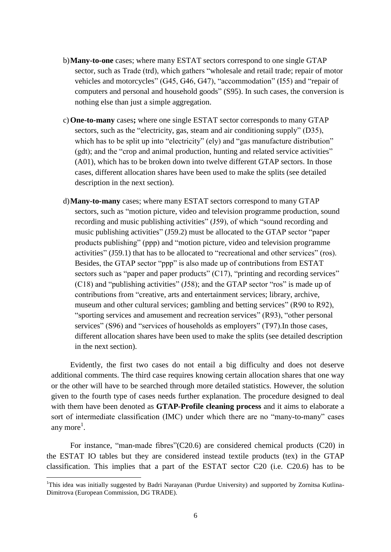- b)**Many-to-one** cases; where many ESTAT sectors correspond to one single GTAP sector, such as Trade (trd), which gathers "wholesale and retail trade; repair of motor vehicles and motorcycles" (G45, G46, G47), "accommodation" (I55) and "repair of computers and personal and household goods" (S95). In such cases, the conversion is nothing else than just a simple aggregation.
- c)**One-to-many** cases**;** where one single ESTAT sector corresponds to many GTAP sectors, such as the "electricity, gas, steam and air conditioning supply" (D35), which has to be split up into "electricity" (ely) and "gas manufacture distribution" (gdt); and the "crop and animal production, hunting and related service activities" (A01), which has to be broken down into twelve different GTAP sectors. In those cases, different allocation shares have been used to make the splits (see detailed description in the next section).
- d)**Many-to-many** cases; where many ESTAT sectors correspond to many GTAP sectors, such as "motion picture, video and television programme production, sound recording and music publishing activities" (J59), of which "sound recording and music publishing activities" (J59.2) must be allocated to the GTAP sector "paper products publishing" (ppp) and "motion picture, video and television programme activities" (J59.1) that has to be allocated to "recreational and other services" (ros). Besides, the GTAP sector "ppp" is also made up of contributions from ESTAT sectors such as "paper and paper products" (C17), "printing and recording services" (C18) and "publishing activities" (J58); and the GTAP sector "ros" is made up of contributions from "creative, arts and entertainment services; library, archive, museum and other cultural services; gambling and betting services" (R90 to R92), "sporting services and amusement and recreation services" (R93), "other personal services" (S96) and "services of households as employers" (T97). In those cases, different allocation shares have been used to make the splits (see detailed description in the next section).

Evidently, the first two cases do not entail a big difficulty and does not deserve additional comments. The third case requires knowing certain allocation shares that one way or the other will have to be searched through more detailed statistics. However, the solution given to the fourth type of cases needs further explanation. The procedure designed to deal with them have been denoted as **GTAP-Profile cleaning process** and it aims to elaborate a sort of intermediate classification (IMC) under which there are no "many-to-many" cases any more<sup>1</sup>.

For instance, "man-made fibres"(C20.6) are considered chemical products (C20) in the ESTAT IO tables but they are considered instead textile products (tex) in the GTAP classification. This implies that a part of the ESTAT sector C20 (i.e. C20.6) has to be

 $\overline{a}$ 

<sup>&</sup>lt;sup>1</sup>This idea was initially suggested by Badri Narayanan (Purdue University) and supported by Zornitsa Kutlina-Dimitrova (European Commission, DG TRADE).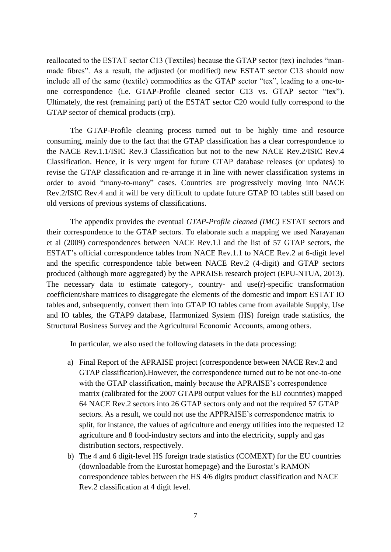reallocated to the ESTAT sector C13 (Textiles) because the GTAP sector (tex) includes "manmade fibres". As a result, the adjusted (or modified) new ESTAT sector C13 should now include all of the same (textile) commodities as the GTAP sector "tex", leading to a one-toone correspondence (i.e. GTAP-Profile cleaned sector C13 vs. GTAP sector "tex"). Ultimately, the rest (remaining part) of the ESTAT sector C20 would fully correspond to the GTAP sector of chemical products (crp).

The GTAP-Profile cleaning process turned out to be highly time and resource consuming, mainly due to the fact that the GTAP classification has a clear correspondence to the NACE Rev.1.1/ISIC Rev.3 Classification but not to the new NACE Rev.2/ISIC Rev.4 Classification. Hence, it is very urgent for future GTAP database releases (or updates) to revise the GTAP classification and re-arrange it in line with newer classification systems in order to avoid "many-to-many" cases. Countries are progressively moving into NACE Rev.2/ISIC Rev.4 and it will be very difficult to update future GTAP IO tables still based on old versions of previous systems of classifications.

The appendix provides the eventual *GTAP-Profile cleaned (IMC)* ESTAT sectors and their correspondence to the GTAP sectors. To elaborate such a mapping we used Narayanan et al (2009) correspondences between NACE Rev.1.l and the list of 57 GTAP sectors, the ESTAT's official correspondence tables from NACE Rev.1.1 to NACE Rev.2 at 6-digit level and the specific correspondence table between NACE Rev.2 (4-digit) and GTAP sectors produced (although more aggregated) by the APRAISE research project (EPU-NTUA, 2013). The necessary data to estimate category-, country- and use(r)-specific transformation coefficient/share matrices to disaggregate the elements of the domestic and import ESTAT IO tables and, subsequently, convert them into GTAP IO tables came from available Supply, Use and IO tables, the GTAP9 database, Harmonized System (HS) foreign trade statistics, the Structural Business Survey and the Agricultural Economic Accounts, among others.

In particular, we also used the following datasets in the data processing:

- a) Final Report of the APRAISE project (correspondence between NACE Rev.2 and GTAP classification).However, the correspondence turned out to be not one-to-one with the GTAP classification, mainly because the APRAISE's correspondence matrix (calibrated for the 2007 GTAP8 output values for the EU countries) mapped 64 NACE Rev.2 sectors into 26 GTAP sectors only and not the required 57 GTAP sectors. As a result, we could not use the APPRAISE's correspondence matrix to split, for instance, the values of agriculture and energy utilities into the requested 12 agriculture and 8 food-industry sectors and into the electricity, supply and gas distribution sectors, respectively.
- b) The 4 and 6 digit-level HS foreign trade statistics (COMEXT) for the EU countries (downloadable from the Eurostat homepage) and the Eurostat's RAMON correspondence tables between the HS 4/6 digits product classification and NACE Rev.2 classification at 4 digit level.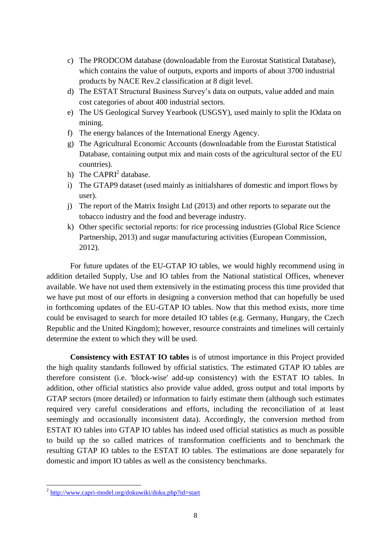- c) The PRODCOM database (downloadable from the Eurostat Statistical Database), which contains the value of outputs, exports and imports of about 3700 industrial products by NACE Rev.2 classification at 8 digit level.
- d) The ESTAT Structural Business Survey's data on outputs, value added and main cost categories of about 400 industrial sectors.
- e) The US Geological Survey Yearbook (USGSY), used mainly to split the IOdata on mining.
- f) The energy balances of the International Energy Agency.
- g) The Agricultural Economic Accounts (downloadable from the Eurostat Statistical Database, containing output mix and main costs of the agricultural sector of the EU countries).
- h) The  $CAPRI<sup>2</sup>$  database.
- i) The GTAP9 dataset (used mainly as initialshares of domestic and import flows by user).
- j) The report of the Matrix Insight Ltd (2013) and other reports to separate out the tobacco industry and the food and beverage industry.
- k) Other specific sectorial reports: for rice processing industries (Global Rice Science Partnership, 2013) and sugar manufacturing activities (European Commission, 2012).

For future updates of the EU-GTAP IO tables, we would highly recommend using in addition detailed Supply, Use and IO tables from the National statistical Offices, whenever available. We have not used them extensively in the estimating process this time provided that we have put most of our efforts in designing a conversion method that can hopefully be used in forthcoming updates of the EU-GTAP IO tables. Now that this method exists, more time could be envisaged to search for more detailed IO tables (e.g. Germany, Hungary, the Czech Republic and the United Kingdom); however, resource constraints and timelines will certainly determine the extent to which they will be used.

**Consistency with ESTAT IO tables** is of utmost importance in this Project provided the high quality standards followed by official statistics. The estimated GTAP IO tables are therefore consistent (i.e. 'block-wise' add-up consistency) with the ESTAT IO tables. In addition, other official statistics also provide value added, gross output and total imports by GTAP sectors (more detailed) or information to fairly estimate them (although such estimates required very careful considerations and efforts, including the reconciliation of at least seemingly and occasionally inconsistent data). Accordingly, the conversion method from ESTAT IO tables into GTAP IO tables has indeed used official statistics as much as possible to build up the so called matrices of transformation coefficients and to benchmark the resulting GTAP IO tables to the ESTAT IO tables. The estimations are done separately for domestic and import IO tables as well as the consistency benchmarks.

<sup>&</sup>lt;sup>2</sup> <http://www.capri-model.org/dokuwiki/doku.php?id=start>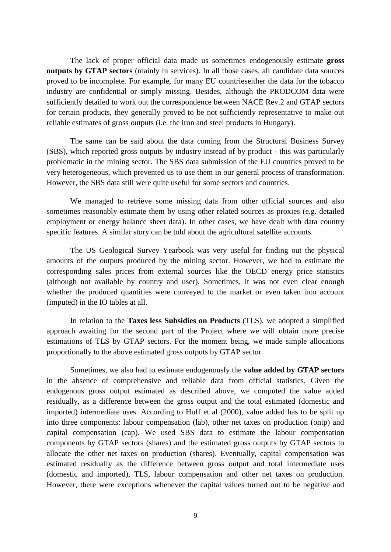The lack of proper official data made us sometimes endogenously estimate **gross outputs by GTAP sectors** (mainly in services). In all those cases, all candidate data sources proved to be incomplete. For example, for many EU countrieseither the data for the tobacco industry are confidential or simply missing. Besides, although the PRODCOM data were sufficiently detailed to work out the correspondence between NACE Rev.2 and GTAP sectors for certain products, they generally proved to be not sufficiently representative to make out reliable estimates of gross outputs (i.e. the iron and steel products in Hungary).

The same can be said about the data coming from the Structural Business Survey (SBS), which reported gross outputs by industry instead of by product - this was particularly problematic in the mining sector. The SBS data submission of the EU countries proved to be very heterogeneous, which prevented us to use them in our general process of transformation. However, the SBS data still were quite useful for some sectors and countries.

We managed to retrieve some missing data from other official sources and also sometimes reasonably estimate them by using other related sources as proxies (e.g. detailed employment or energy balance sheet data). In other cases, we have dealt with data country specific features. A similar story can be told about the agricultural satellite accounts.

The US Geological Survey Yearbook was very useful for finding out the physical amounts of the outputs produced by the mining sector. However, we had to estimate the corresponding sales prices from external sources like the OECD energy price statistics (although not available by country and user). Sometimes, it was not even clear enough whether the produced quantities were conveyed to the market or even taken into account (imputed) in the IO tables at all.

In relation to the **Taxes less Subsidies on Products** (TLS), we adopted a simplified approach awaiting for the second part of the Project where we will obtain more precise estimations of TLS by GTAP sectors. For the moment being, we made simple allocations proportionally to the above estimated gross outputs by GTAP sector.

Sometimes, we also had to estimate endogenously the **value added by GTAP sectors** in the absence of comprehensive and reliable data from official statistics. Given the endogenous gross output estimated as described above, we computed the value added residually, as a difference between the gross output and the total estimated (domestic and imported) intermediate uses. According to Huff et al (2000), value added has to be split up into three components: labour compensation (lab), other net taxes on production (ontp) and capital compensation (cap). We used SBS data to estimate the labour compensation components by GTAP sectors (shares) and the estimated gross outputs by GTAP sectors to allocate the other net taxes on production (shares). Eventually, capital compensation was estimated residually as the difference between gross output and total intermediate uses (domestic and imported), TLS, labour compensation and other net taxes on production. However, there were exceptions whenever the capital values turned out to be negative and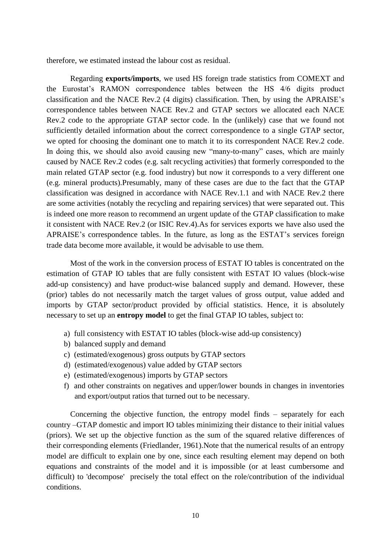therefore, we estimated instead the labour cost as residual.

Regarding **exports/imports**, we used HS foreign trade statistics from COMEXT and the Eurostat's RAMON correspondence tables between the HS 4/6 digits product classification and the NACE Rev.2 (4 digits) classification. Then, by using the APRAISE's correspondence tables between NACE Rev.2 and GTAP sectors we allocated each NACE Rev.2 code to the appropriate GTAP sector code. In the (unlikely) case that we found not sufficiently detailed information about the correct correspondence to a single GTAP sector, we opted for choosing the dominant one to match it to its correspondent NACE Rev.2 code. In doing this, we should also avoid causing new "many-to-many" cases, which are mainly caused by NACE Rev.2 codes (e.g. salt recycling activities) that formerly corresponded to the main related GTAP sector (e.g. food industry) but now it corresponds to a very different one (e.g. mineral products).Presumably, many of these cases are due to the fact that the GTAP classification was designed in accordance with NACE Rev.1.1 and with NACE Rev.2 there are some activities (notably the recycling and repairing services) that were separated out. This is indeed one more reason to recommend an urgent update of the GTAP classification to make it consistent with NACE Rev.2 (or ISIC Rev.4).As for services exports we have also used the APRAISE's correspondence tables. In the future, as long as the ESTAT's services foreign trade data become more available, it would be advisable to use them.

Most of the work in the conversion process of ESTAT IO tables is concentrated on the estimation of GTAP IO tables that are fully consistent with ESTAT IO values (block-wise add-up consistency) and have product-wise balanced supply and demand. However, these (prior) tables do not necessarily match the target values of gross output, value added and imports by GTAP sector/product provided by official statistics. Hence, it is absolutely necessary to set up an **entropy model** to get the final GTAP IO tables, subject to:

- a) full consistency with ESTAT IO tables (block-wise add-up consistency)
- b) balanced supply and demand
- c) (estimated/exogenous) gross outputs by GTAP sectors
- d) (estimated/exogenous) value added by GTAP sectors
- e) (estimated/exogenous) imports by GTAP sectors
- f) and other constraints on negatives and upper/lower bounds in changes in inventories and export/output ratios that turned out to be necessary.

Concerning the objective function, the entropy model finds – separately for each country –GTAP domestic and import IO tables minimizing their distance to their initial values (priors). We set up the objective function as the sum of the squared relative differences of their corresponding elements (Friedlander, 1961).Note that the numerical results of an entropy model are difficult to explain one by one, since each resulting element may depend on both equations and constraints of the model and it is impossible (or at least cumbersome and difficult) to 'decompose' precisely the total effect on the role/contribution of the individual conditions.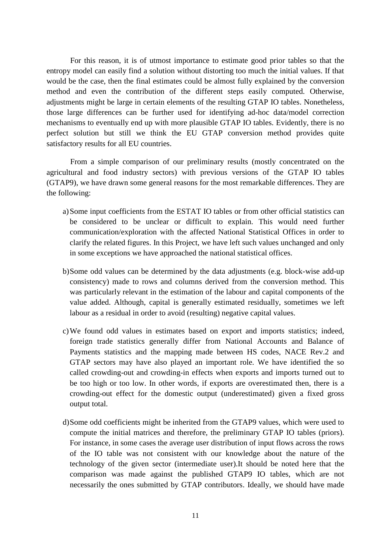For this reason, it is of utmost importance to estimate good prior tables so that the entropy model can easily find a solution without distorting too much the initial values. If that would be the case, then the final estimates could be almost fully explained by the conversion method and even the contribution of the different steps easily computed. Otherwise, adjustments might be large in certain elements of the resulting GTAP IO tables. Nonetheless, those large differences can be further used for identifying ad-hoc data/model correction mechanisms to eventually end up with more plausible GTAP IO tables. Evidently, there is no perfect solution but still we think the EU GTAP conversion method provides quite satisfactory results for all EU countries.

From a simple comparison of our preliminary results (mostly concentrated on the agricultural and food industry sectors) with previous versions of the GTAP IO tables (GTAP9), we have drawn some general reasons for the most remarkable differences. They are the following:

- a)Some input coefficients from the ESTAT IO tables or from other official statistics can be considered to be unclear or difficult to explain. This would need further communication/exploration with the affected National Statistical Offices in order to clarify the related figures. In this Project, we have left such values unchanged and only in some exceptions we have approached the national statistical offices.
- b)Some odd values can be determined by the data adjustments (e.g. block-wise add-up consistency) made to rows and columns derived from the conversion method. This was particularly relevant in the estimation of the labour and capital components of the value added. Although, capital is generally estimated residually, sometimes we left labour as a residual in order to avoid (resulting) negative capital values.
- c)We found odd values in estimates based on export and imports statistics; indeed, foreign trade statistics generally differ from National Accounts and Balance of Payments statistics and the mapping made between HS codes, NACE Rev.2 and GTAP sectors may have also played an important role. We have identified the so called crowding-out and crowding-in effects when exports and imports turned out to be too high or too low. In other words, if exports are overestimated then, there is a crowding-out effect for the domestic output (underestimated) given a fixed gross output total.
- d)Some odd coefficients might be inherited from the GTAP9 values, which were used to compute the initial matrices and therefore, the preliminary GTAP IO tables (priors). For instance, in some cases the average user distribution of input flows across the rows of the IO table was not consistent with our knowledge about the nature of the technology of the given sector (intermediate user).It should be noted here that the comparison was made against the published GTAP9 IO tables, which are not necessarily the ones submitted by GTAP contributors. Ideally, we should have made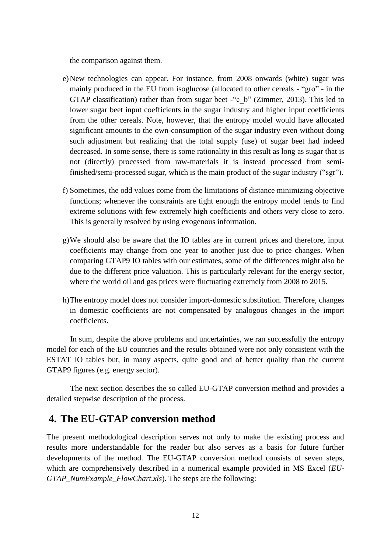the comparison against them.

- e)New technologies can appear. For instance, from 2008 onwards (white) sugar was mainly produced in the EU from isoglucose (allocated to other cereals - "gro" - in the GTAP classification) rather than from sugar beet -"c\_b" (Zimmer, 2013). This led to lower sugar beet input coefficients in the sugar industry and higher input coefficients from the other cereals. Note, however, that the entropy model would have allocated significant amounts to the own-consumption of the sugar industry even without doing such adjustment but realizing that the total supply (use) of sugar beet had indeed decreased. In some sense, there is some rationality in this result as long as sugar that is not (directly) processed from raw-materials it is instead processed from semifinished/semi-processed sugar, which is the main product of the sugar industry ("sgr").
- f) Sometimes, the odd values come from the limitations of distance minimizing objective functions; whenever the constraints are tight enough the entropy model tends to find extreme solutions with few extremely high coefficients and others very close to zero. This is generally resolved by using exogenous information.
- g)We should also be aware that the IO tables are in current prices and therefore, input coefficients may change from one year to another just due to price changes. When comparing GTAP9 IO tables with our estimates, some of the differences might also be due to the different price valuation. This is particularly relevant for the energy sector, where the world oil and gas prices were fluctuating extremely from 2008 to 2015.
- h)The entropy model does not consider import-domestic substitution. Therefore, changes in domestic coefficients are not compensated by analogous changes in the import coefficients.

In sum, despite the above problems and uncertainties, we ran successfully the entropy model for each of the EU countries and the results obtained were not only consistent with the ESTAT IO tables but, in many aspects, quite good and of better quality than the current GTAP9 figures (e.g. energy sector).

The next section describes the so called EU-GTAP conversion method and provides a detailed stepwise description of the process.

## <span id="page-11-0"></span>**4. The EU-GTAP conversion method**

The present methodological description serves not only to make the existing process and results more understandable for the reader but also serves as a basis for future further developments of the method. The EU-GTAP conversion method consists of seven steps, which are comprehensively described in a numerical example provided in MS Excel (*EU-GTAP\_NumExample\_FlowChart.xls*). The steps are the following: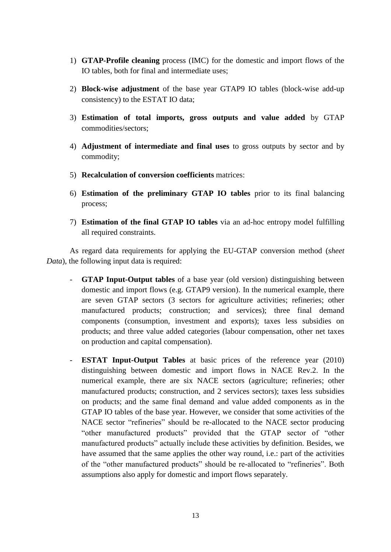- 1) **GTAP-Profile cleaning** process (IMC) for the domestic and import flows of the IO tables, both for final and intermediate uses;
- 2) **Block-wise adjustment** of the base year GTAP9 IO tables (block-wise add-up consistency) to the ESTAT IO data;
- 3) **Estimation of total imports, gross outputs and value added** by GTAP commodities/sectors;
- 4) **Adjustment of intermediate and final uses** to gross outputs by sector and by commodity;
- 5) **Recalculation of conversion coefficients** matrices:
- 6) **Estimation of the preliminary GTAP IO tables** prior to its final balancing process;
- 7) **Estimation of the final GTAP IO tables** via an ad-hoc entropy model fulfilling all required constraints.

As regard data requirements for applying the EU-GTAP conversion method (*sheet Data*), the following input data is required:

- **GTAP Input-Output tables** of a base year (old version) distinguishing between domestic and import flows (e.g. GTAP9 version). In the numerical example, there are seven GTAP sectors (3 sectors for agriculture activities; refineries; other manufactured products; construction; and services); three final demand components (consumption, investment and exports); taxes less subsidies on products; and three value added categories (labour compensation, other net taxes on production and capital compensation).
- **ESTAT Input-Output Tables** at basic prices of the reference year (2010) distinguishing between domestic and import flows in NACE Rev.2. In the numerical example, there are six NACE sectors (agriculture; refineries; other manufactured products; construction, and 2 services sectors); taxes less subsidies on products; and the same final demand and value added components as in the GTAP IO tables of the base year. However, we consider that some activities of the NACE sector "refineries" should be re-allocated to the NACE sector producing "other manufactured products" provided that the GTAP sector of "other manufactured products" actually include these activities by definition. Besides, we have assumed that the same applies the other way round, i.e.: part of the activities of the "other manufactured products" should be re-allocated to "refineries". Both assumptions also apply for domestic and import flows separately.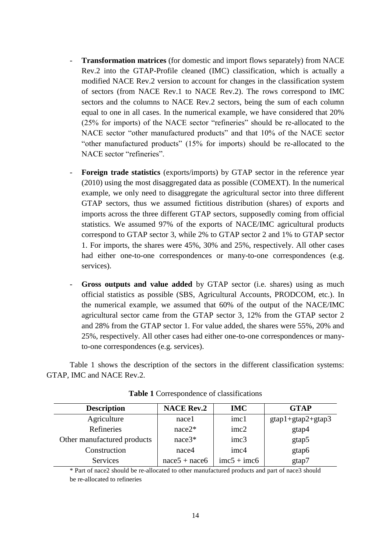- **Transformation matrices** (for domestic and import flows separately) from NACE Rev.2 into the GTAP-Profile cleaned (IMC) classification, which is actually a modified NACE Rev.2 version to account for changes in the classification system of sectors (from NACE Rev.1 to NACE Rev.2). The rows correspond to IMC sectors and the columns to NACE Rev.2 sectors, being the sum of each column equal to one in all cases. In the numerical example, we have considered that 20% (25% for imports) of the NACE sector "refineries" should be re-allocated to the NACE sector "other manufactured products" and that 10% of the NACE sector "other manufactured products" (15% for imports) should be re-allocated to the NACE sector "refineries".
- Foreign trade statistics (exports/imports) by GTAP sector in the reference year (2010) using the most disaggregated data as possible (COMEXT). In the numerical example, we only need to disaggregate the agricultural sector into three different GTAP sectors, thus we assumed fictitious distribution (shares) of exports and imports across the three different GTAP sectors, supposedly coming from official statistics. We assumed 97% of the exports of NACE/IMC agricultural products correspond to GTAP sector 3, while 2% to GTAP sector 2 and 1% to GTAP sector 1. For imports, the shares were 45%, 30% and 25%, respectively. All other cases had either one-to-one correspondences or many-to-one correspondences (e.g. services).
- **Gross outputs and value added** by GTAP sector (i.e. shares) using as much official statistics as possible (SBS, Agricultural Accounts, PRODCOM, etc.). In the numerical example, we assumed that 60% of the output of the NACE/IMC agricultural sector came from the GTAP sector 3, 12% from the GTAP sector 2 and 28% from the GTAP sector 1. For value added, the shares were 55%, 20% and 25%, respectively. All other cases had either one-to-one correspondences or manyto-one correspondences (e.g. services).

Table 1 shows the description of the sectors in the different classification systems: GTAP, IMC and NACE Rev.2.

| <b>Description</b>          | <b>NACE Rev.2</b> | <b>IMC</b>                  | <b>GTAP</b>         |
|-----------------------------|-------------------|-----------------------------|---------------------|
| Agriculture                 | nacel             | imc1                        | $gtap1+gtap2+gtap3$ |
| Refineries                  | $nace2*$          | imc2                        | gtap4               |
| Other manufactured products | $nace3*$          | imc3                        | gtap5               |
| Construction                | nace4             | imc4                        | gtap6               |
| Services                    | $nace5 + nace6$   | $\text{imc}5 + \text{imc}6$ | gtap7               |

**Table 1** Correspondence of classifications

\* Part of nace2 should be re-allocated to other manufactured products and part of nace3 should be re-allocated to refineries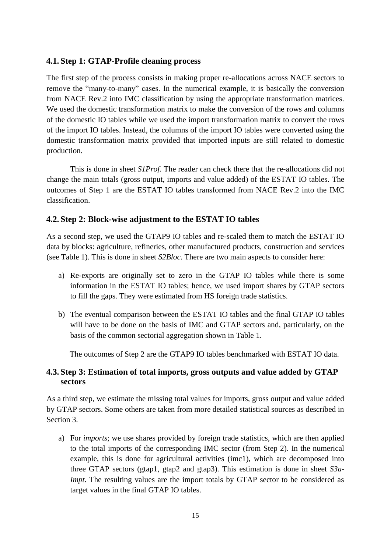#### <span id="page-14-0"></span>**4.1. Step 1: GTAP-Profile cleaning process**

The first step of the process consists in making proper re-allocations across NACE sectors to remove the "many-to-many" cases. In the numerical example, it is basically the conversion from NACE Rev.2 into IMC classification by using the appropriate transformation matrices. We used the domestic transformation matrix to make the conversion of the rows and columns of the domestic IO tables while we used the import transformation matrix to convert the rows of the import IO tables. Instead, the columns of the import IO tables were converted using the domestic transformation matrix provided that imported inputs are still related to domestic production.

This is done in sheet *S1Prof*. The reader can check there that the re-allocations did not change the main totals (gross output, imports and value added) of the ESTAT IO tables. The outcomes of Step 1 are the ESTAT IO tables transformed from NACE Rev.2 into the IMC classification.

#### <span id="page-14-1"></span>**4.2. Step 2: Block-wise adjustment to the ESTAT IO tables**

As a second step, we used the GTAP9 IO tables and re-scaled them to match the ESTAT IO data by blocks: agriculture, refineries, other manufactured products, construction and services (see Table 1). This is done in sheet *S2Bloc*. There are two main aspects to consider here:

- a) Re-exports are originally set to zero in the GTAP IO tables while there is some information in the ESTAT IO tables; hence, we used import shares by GTAP sectors to fill the gaps. They were estimated from HS foreign trade statistics.
- b) The eventual comparison between the ESTAT IO tables and the final GTAP IO tables will have to be done on the basis of IMC and GTAP sectors and, particularly, on the basis of the common sectorial aggregation shown in Table 1.

The outcomes of Step 2 are the GTAP9 IO tables benchmarked with ESTAT IO data.

#### <span id="page-14-2"></span>**4.3. Step 3: Estimation of total imports, gross outputs and value added by GTAP sectors**

As a third step, we estimate the missing total values for imports, gross output and value added by GTAP sectors. Some others are taken from more detailed statistical sources as described in Section 3.

a) For *imports*; we use shares provided by foreign trade statistics, which are then applied to the total imports of the corresponding IMC sector (from Step 2). In the numerical example, this is done for agricultural activities (imc1), which are decomposed into three GTAP sectors (gtap1, gtap2 and gtap3). This estimation is done in sheet *S3a-Impt*. The resulting values are the import totals by GTAP sector to be considered as target values in the final GTAP IO tables.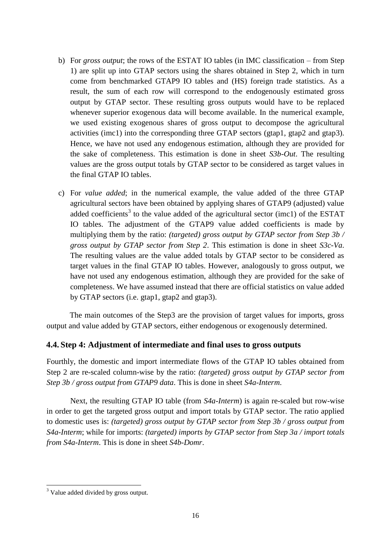- b) For *gross output*; the rows of the ESTAT IO tables (in IMC classification from Step 1) are split up into GTAP sectors using the shares obtained in Step 2, which in turn come from benchmarked GTAP9 IO tables and (HS) foreign trade statistics. As a result, the sum of each row will correspond to the endogenously estimated gross output by GTAP sector. These resulting gross outputs would have to be replaced whenever superior exogenous data will become available. In the numerical example, we used existing exogenous shares of gross output to decompose the agricultural activities (imc1) into the corresponding three GTAP sectors (gtap1, gtap2 and gtap3). Hence, we have not used any endogenous estimation, although they are provided for the sake of completeness. This estimation is done in sheet *S3b-Out*. The resulting values are the gross output totals by GTAP sector to be considered as target values in the final GTAP IO tables.
- c) For *value added*; in the numerical example, the value added of the three GTAP agricultural sectors have been obtained by applying shares of GTAP9 (adjusted) value added coefficients<sup>3</sup> to the value added of the agricultural sector (imc1) of the ESTAT IO tables. The adjustment of the GTAP9 value added coefficients is made by multiplying them by the ratio: *(targeted) gross output by GTAP sector from Step 3b / gross output by GTAP sector from Step 2*. This estimation is done in sheet *S3c-Va*. The resulting values are the value added totals by GTAP sector to be considered as target values in the final GTAP IO tables. However, analogously to gross output, we have not used any endogenous estimation, although they are provided for the sake of completeness. We have assumed instead that there are official statistics on value added by GTAP sectors (i.e. gtap1, gtap2 and gtap3).

The main outcomes of the Step3 are the provision of target values for imports, gross output and value added by GTAP sectors, either endogenous or exogenously determined.

#### <span id="page-15-0"></span>**4.4. Step 4: Adjustment of intermediate and final uses to gross outputs**

Fourthly, the domestic and import intermediate flows of the GTAP IO tables obtained from Step 2 are re-scaled column-wise by the ratio: *(targeted) gross output by GTAP sector from Step 3b / gross output from GTAP9 data*. This is done in sheet *S4a-Interm*.

Next, the resulting GTAP IO table (from *S4a-Interm*) is again re-scaled but row-wise in order to get the targeted gross output and import totals by GTAP sector. The ratio applied to domestic uses is: *(targeted) gross output by GTAP sector from Step 3b / gross output from S4a-Interm*; while for imports: *(targeted) imports by GTAP sector from Step 3a / import totals from S4a-Interm*. This is done in sheet *S4b-Domr*.

 $\overline{\phantom{a}}$  $3$  Value added divided by gross output.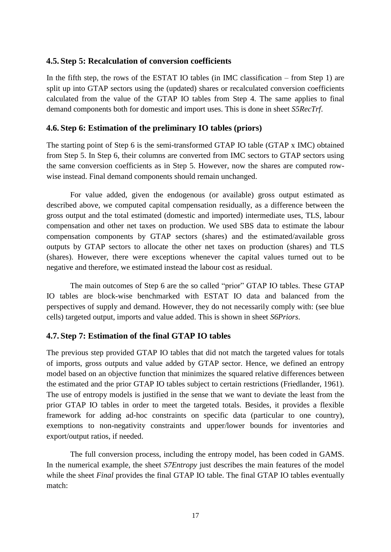#### <span id="page-16-0"></span>**4.5. Step 5: Recalculation of conversion coefficients**

In the fifth step, the rows of the ESTAT IO tables (in IMC classification – from Step 1) are split up into GTAP sectors using the (updated) shares or recalculated conversion coefficients calculated from the value of the GTAP IO tables from Step 4. The same applies to final demand components both for domestic and import uses. This is done in sheet *S5RecTrf*.

#### <span id="page-16-1"></span>**4.6. Step 6: Estimation of the preliminary IO tables (priors)**

The starting point of Step 6 is the semi-transformed GTAP IO table (GTAP x IMC) obtained from Step 5. In Step 6, their columns are converted from IMC sectors to GTAP sectors using the same conversion coefficients as in Step 5. However, now the shares are computed rowwise instead. Final demand components should remain unchanged.

For value added, given the endogenous (or available) gross output estimated as described above, we computed capital compensation residually, as a difference between the gross output and the total estimated (domestic and imported) intermediate uses, TLS, labour compensation and other net taxes on production. We used SBS data to estimate the labour compensation components by GTAP sectors (shares) and the estimated/available gross outputs by GTAP sectors to allocate the other net taxes on production (shares) and TLS (shares). However, there were exceptions whenever the capital values turned out to be negative and therefore, we estimated instead the labour cost as residual.

The main outcomes of Step 6 are the so called "prior" GTAP IO tables. These GTAP IO tables are block-wise benchmarked with ESTAT IO data and balanced from the perspectives of supply and demand. However, they do not necessarily comply with: (see blue cells) targeted output, imports and value added. This is shown in sheet *S6Priors*.

#### <span id="page-16-2"></span>**4.7. Step 7: Estimation of the final GTAP IO tables**

The previous step provided GTAP IO tables that did not match the targeted values for totals of imports, gross outputs and value added by GTAP sector. Hence, we defined an entropy model based on an objective function that minimizes the squared relative differences between the estimated and the prior GTAP IO tables subject to certain restrictions (Friedlander, 1961). The use of entropy models is justified in the sense that we want to deviate the least from the prior GTAP IO tables in order to meet the targeted totals. Besides, it provides a flexible framework for adding ad-hoc constraints on specific data (particular to one country), exemptions to non-negativity constraints and upper/lower bounds for inventories and export/output ratios, if needed.

The full conversion process, including the entropy model, has been coded in GAMS. In the numerical example, the sheet *S7Entropy* just describes the main features of the model while the sheet *Final* provides the final GTAP IO table. The final GTAP IO tables eventually match: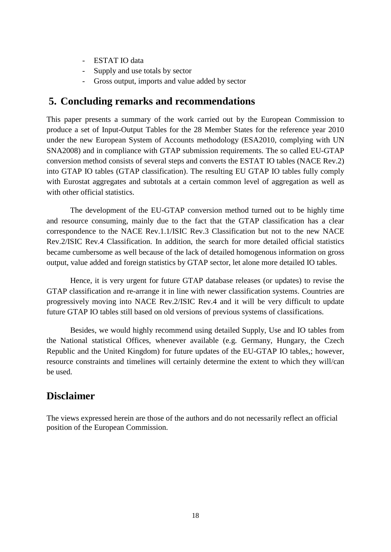- ESTAT IO data
- Supply and use totals by sector
- Gross output, imports and value added by sector

# <span id="page-17-0"></span>**5. Concluding remarks and recommendations**

This paper presents a summary of the work carried out by the European Commission to produce a set of Input-Output Tables for the 28 Member States for the reference year 2010 under the new European System of Accounts methodology (ESA2010, complying with UN SNA2008) and in compliance with GTAP submission requirements. The so called EU-GTAP conversion method consists of several steps and converts the ESTAT IO tables (NACE Rev.2) into GTAP IO tables (GTAP classification). The resulting EU GTAP IO tables fully comply with Eurostat aggregates and subtotals at a certain common level of aggregation as well as with other official statistics.

The development of the EU-GTAP conversion method turned out to be highly time and resource consuming, mainly due to the fact that the GTAP classification has a clear correspondence to the NACE Rev.1.1/ISIC Rev.3 Classification but not to the new NACE Rev.2/ISIC Rev.4 Classification. In addition, the search for more detailed official statistics became cumbersome as well because of the lack of detailed homogenous information on gross output, value added and foreign statistics by GTAP sector, let alone more detailed IO tables.

Hence, it is very urgent for future GTAP database releases (or updates) to revise the GTAP classification and re-arrange it in line with newer classification systems. Countries are progressively moving into NACE Rev.2/ISIC Rev.4 and it will be very difficult to update future GTAP IO tables still based on old versions of previous systems of classifications.

Besides, we would highly recommend using detailed Supply, Use and IO tables from the National statistical Offices, whenever available (e.g. Germany, Hungary, the Czech Republic and the United Kingdom) for future updates of the EU-GTAP IO tables,; however, resource constraints and timelines will certainly determine the extent to which they will/can be used.

# **Disclaimer**

The views expressed herein are those of the authors and do not necessarily reflect an official position of the European Commission.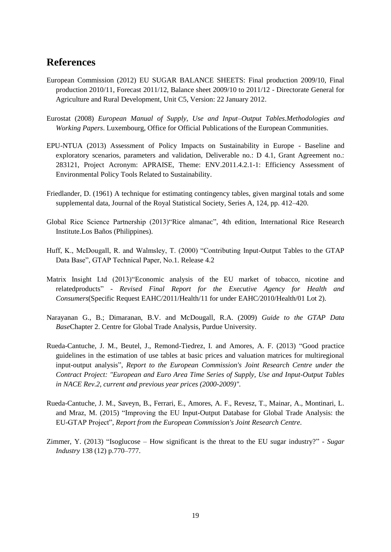## **References**

- European Commission (2012) EU SUGAR BALANCE SHEETS: Final production 2009/10, Final production 2010/11, Forecast 2011/12, Balance sheet 2009/10 to 2011/12 - Directorate General for Agriculture and Rural Development, Unit C5, Version: 22 January 2012.
- Eurostat (2008) *European Manual of Supply, Use and Input–Output Tables.Methodologies and Working Papers*. Luxembourg, Office for Official Publications of the European Communities.
- EPU-NTUA (2013) Assessment of Policy Impacts on Sustainability in Europe Baseline and exploratory scenarios, parameters and validation, Deliverable no.: D 4.1, Grant Agreement no.: 283121, Project Acronym: APRAISE, Theme: ENV.2011.4.2.1-1: Efficiency Assessment of Environmental Policy Tools Related to Sustainability.
- Friedlander, D. (1961) A technique for estimating contingency tables, given marginal totals and some supplemental data, Journal of the Royal Statistical Society, Series A, 124, pp. 412–420.
- Global Rice Science Partnership (2013)"Rice almanac", 4th edition, International Rice Research Institute.Los Baños (Philippines).
- Huff, K., McDougall, R. and Walmsley, T. (2000) "Contributing Input-Output Tables to the GTAP Data Base", GTAP Technical Paper, No.1. Release 4.2
- Matrix Insight Ltd (2013)"Economic analysis of the EU market of tobacco, nicotine and relatedproducts" - *Revised Final Report for the Executive Agency for Health and Consumers*(Specific Request EAHC/2011/Health/11 for under EAHC/2010/Health/01 Lot 2).
- Narayanan G., B.; Dimaranan, B.V. and McDougall, R.A. (2009) *Guide to the GTAP Data Base*Chapter 2. Centre for Global Trade Analysis, Purdue University.
- Rueda-Cantuche, J. M., Beutel, J., Remond-Tiedrez, I. and Amores, A. F. (2013) "Good practice guidelines in the estimation of use tables at basic prices and valuation matrices for multiregional input-output analysis", *Report to the European Commission's Joint Research Centre under the Contract Project: "European and Euro Area Time Series of Supply, Use and Input-Output Tables in NACE Rev.2, current and previous year prices (2000-2009)".*
- Rueda-Cantuche, J. M., Saveyn, B., Ferrari, E., Amores, A. F., Revesz, T., Mainar, A., Montinari, L. and Mraz, M. (2015) "Improving the EU Input-Output Database for Global Trade Analysis: the EU-GTAP Project", *Report from the European Commission's Joint Research Centre.*
- Zimmer, Y. (2013) "Isoglucose How significant is the threat to the EU sugar industry?" *Sugar Industry* 138 (12) p.770–777.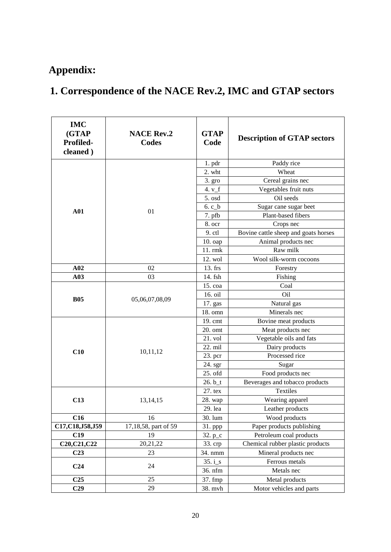# <span id="page-19-0"></span>**Appendix:**

# **1. Correspondence of the NACE Rev.2, IMC and GTAP sectors**

| <b>IMC</b><br>(GTAP<br>Profiled-<br>cleaned) | <b>NACE Rev.2</b><br>Codes | <b>GTAP</b><br>Code | <b>Description of GTAP sectors</b>   |
|----------------------------------------------|----------------------------|---------------------|--------------------------------------|
|                                              |                            | $1.$ pdr            | Paddy rice                           |
|                                              |                            | 2. wht              | Wheat                                |
|                                              | 01                         | 3. gro              | Cereal grains nec                    |
|                                              |                            | 4. $v_f$            | Vegetables fruit nuts                |
|                                              |                            | 5. osd              | Oil seeds                            |
| A <sub>01</sub>                              |                            | $6. c_b$            | Sugar cane sugar beet                |
|                                              |                            | 7. pfb              | Plant-based fibers                   |
|                                              |                            | 8. ocr              | Crops nec                            |
|                                              |                            | 9. ctl              | Bovine cattle sheep and goats horses |
|                                              |                            | 10. oap             | Animal products nec                  |
|                                              |                            | 11. rmk             | Raw milk                             |
|                                              |                            | 12. wol             | Wool silk-worm cocoons               |
| A02                                          | 02                         | 13. frs             | Forestry                             |
| A03                                          | 03                         | 14. fsh             | Fishing                              |
|                                              | 05,06,07,08,09             | 15. coa             | Coal                                 |
| <b>B05</b>                                   |                            | 16. oil             | <b>Oil</b>                           |
|                                              |                            | 17. gas             | Natural gas                          |
|                                              |                            | 18. omn             | Minerals nec                         |
|                                              | 10,11,12                   | 19. cmt             | Bovine meat products                 |
|                                              |                            | 20. omt             | Meat products nec                    |
|                                              |                            | 21. vol             | Vegetable oils and fats              |
|                                              |                            | 22. mil             | Dairy products                       |
| C10                                          |                            | 23. pcr             | Processed rice                       |
|                                              |                            | 24. sgr             | Sugar                                |
|                                              |                            | 25. ofd             | Food products nec                    |
|                                              |                            | $26. b_t$           | Beverages and tobacco products       |
|                                              | 13, 14, 15                 | 27. tex             | Textiles                             |
| C13                                          |                            | 28. wap             | Wearing apparel                      |
|                                              |                            | 29. lea             | Leather products                     |
| C16                                          | 16                         | 30. lum             | Wood products                        |
| C17, C18, J58, J59                           | 17,18,58, part of 59       | 31. ppp             | Paper products publishing            |
| C19                                          | 19                         | 32. $p_c$           | Petroleum coal products              |
| C20, C21, C22                                | 20,21,22                   | 33. crp             | Chemical rubber plastic products     |
| C <sub>23</sub>                              | 23                         | 34. nmm             | Mineral products nec                 |
| C <sub>24</sub>                              | 24                         | $35. i_s$           | Ferrous metals                       |
|                                              |                            | 36. nfm             | Metals nec                           |
| C <sub>25</sub>                              | 25                         | 37. fmp             | Metal products                       |
| C <sub>29</sub>                              | 29                         | 38. mvh             | Motor vehicles and parts             |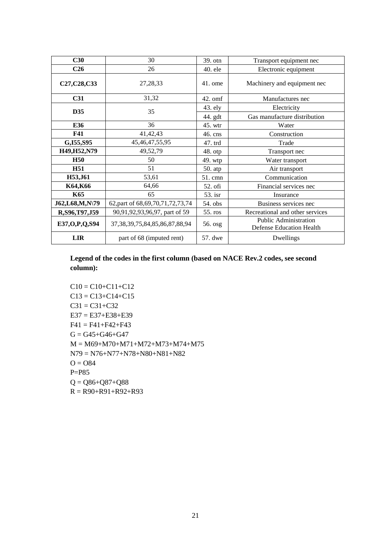| C30               | 30                                     | 39. otn   | Transport equipment nec                                  |
|-------------------|----------------------------------------|-----------|----------------------------------------------------------|
| C <sub>26</sub>   | 26                                     | $40.$ ele | Electronic equipment                                     |
| C27, C28, C33     | 27,28,33                               | $41.$ ome | Machinery and equipment nec                              |
| C <sub>31</sub>   | 31,32                                  | $42.$ omf | Manufactures nec                                         |
| D35               | 35                                     | 43. ely   | Electricity                                              |
|                   |                                        | 44. gdt   | Gas manufacture distribution                             |
| E36               | 36                                     | 45. wtr   | Water                                                    |
| <b>F41</b>        | 41,42,43                               | 46. cns   | Construction                                             |
| G, I55, S95       | 45, 46, 47, 55, 95                     | 47. trd   | Trade                                                    |
| H49, H52, N79     | 49,52,79                               | 48. otp   | Transport nec                                            |
| <b>H50</b>        | 50                                     | 49. wtp   | Water transport                                          |
| <b>H51</b>        | 51                                     | 50. atp   | Air transport                                            |
| H53, J61          | 53,61                                  | $51.$ cmn | Communication                                            |
| K64,K66           | 64,66                                  | 52. ofi   | Financial services nec                                   |
| K65               | 65                                     | 53. isr   | Insurance                                                |
| J62,L68,M,N\79    | 62, part of 68, 69, 70, 71, 72, 73, 74 | 54. obs   | Business services nec                                    |
| R, S96, T97, J59  | 90,91,92,93,96,97, part of 59          | 55. ros   | Recreational and other services                          |
| E37, O, P, Q, S94 | 37, 38, 39, 75, 84, 85, 86, 87, 88, 94 | 56. osg   | <b>Public Administration</b><br>Defense Education Health |
| <b>LIR</b>        | part of 68 (imputed rent)              | 57. dwe   | Dwellings                                                |

**Legend of the codes in the first column (based on NACE Rev.2 codes, see second column):** 

 $C10 = C10 + C11 + C12$  $C13 = C13 + C14 + C15$  $C31 = C31 + C32$  $E37 = E37 + E38 + E39$  $F41 = F41 + F42 + F43$  $G = G45+G46+G47$ M = M69+M70+M71+M72+M73+M74+M75 N79 = N76+N77+N78+N80+N81+N82  $Q = Q$ P=P85  $Q = Q86+Q87+Q88$  $R = R90+R91+R92+R93$